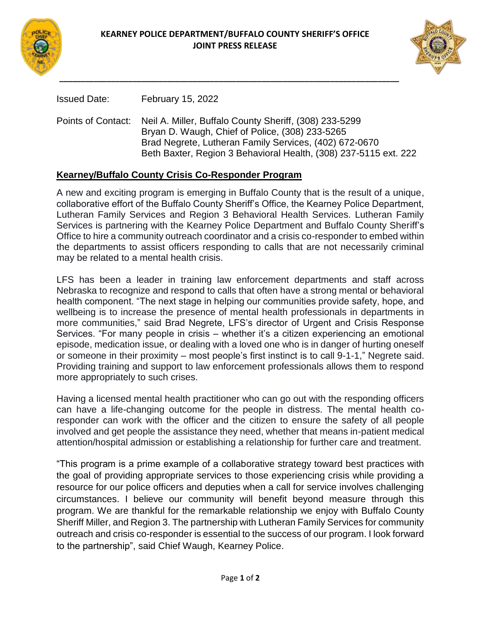



Issued Date: February 15, 2022

Points of Contact: Neil A. Miller, Buffalo County Sheriff, (308) 233-5299 Bryan D. Waugh, Chief of Police, (308) 233-5265 Brad Negrete, Lutheran Family Services, (402) 672-0670 Beth Baxter, Region 3 Behavioral Health, (308) 237-5115 ext. 222

## **Kearney/Buffalo County Crisis Co-Responder Program**

A new and exciting program is emerging in Buffalo County that is the result of a unique, collaborative effort of the Buffalo County Sheriff's Office, the Kearney Police Department, Lutheran Family Services and Region 3 Behavioral Health Services. Lutheran Family Services is partnering with the Kearney Police Department and Buffalo County Sheriff's Office to hire a community outreach coordinator and a crisis co-responder to embed within the departments to assist officers responding to calls that are not necessarily criminal may be related to a mental health crisis.

LFS has been a leader in training law enforcement departments and staff across Nebraska to recognize and respond to calls that often have a strong mental or behavioral health component. "The next stage in helping our communities provide safety, hope, and wellbeing is to increase the presence of mental health professionals in departments in more communities," said Brad Negrete, LFS's director of Urgent and Crisis Response Services. "For many people in crisis – whether it's a citizen experiencing an emotional episode, medication issue, or dealing with a loved one who is in danger of hurting oneself or someone in their proximity – most people's first instinct is to call 9-1-1," Negrete said. Providing training and support to law enforcement professionals allows them to respond more appropriately to such crises.

Having a licensed mental health practitioner who can go out with the responding officers can have a life-changing outcome for the people in distress. The mental health coresponder can work with the officer and the citizen to ensure the safety of all people involved and get people the assistance they need, whether that means in-patient medical attention/hospital admission or establishing a relationship for further care and treatment.

"This program is a prime example of a collaborative strategy toward best practices with the goal of providing appropriate services to those experiencing crisis while providing a resource for our police officers and deputies when a call for service involves challenging circumstances. I believe our community will benefit beyond measure through this program. We are thankful for the remarkable relationship we enjoy with Buffalo County Sheriff Miller, and Region 3. The partnership with Lutheran Family Services for community outreach and crisis co-responder is essential to the success of our program. I look forward to the partnership", said Chief Waugh, Kearney Police.